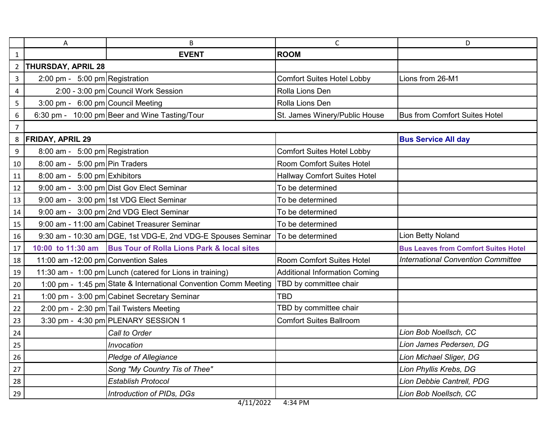|                | Α                                   | B                                                               | C                                    | D                                           |
|----------------|-------------------------------------|-----------------------------------------------------------------|--------------------------------------|---------------------------------------------|
| $\mathbf{1}$   |                                     | <b>EVENT</b>                                                    | <b>ROOM</b>                          |                                             |
| $\overline{2}$ | <b>THURSDAY, APRIL 28</b>           |                                                                 |                                      |                                             |
| 3              | 2:00 pm - $5:00$ pm Registration    |                                                                 | <b>Comfort Suites Hotel Lobby</b>    | Lions from 26-M1                            |
| 4              |                                     | 2:00 - 3:00 pm Council Work Session                             | Rolla Lions Den                      |                                             |
| 5              | 3:00 pm - 6:00 pm Council Meeting   |                                                                 | Rolla Lions Den                      |                                             |
| 6              |                                     | 6:30 pm - 10:00 pm Beer and Wine Tasting/Tour                   | St. James Winery/Public House        | <b>Bus from Comfort Suites Hotel</b>        |
| $\overline{7}$ |                                     |                                                                 |                                      |                                             |
| 8              | <b>FRIDAY, APRIL 29</b>             |                                                                 |                                      | <b>Bus Service All day</b>                  |
| 9              | 8:00 am - 5:00 pm Registration      |                                                                 | <b>Comfort Suites Hotel Lobby</b>    |                                             |
| 10             | 8:00 am - $5:00$ pm Pin Traders     |                                                                 | Room Comfort Suites Hotel            |                                             |
| 11             | $8:00$ am - 5:00 pm Exhibitors      |                                                                 | <b>Hallway Comfort Suites Hotel</b>  |                                             |
| 12             |                                     | 9:00 am - 3:00 pm Dist Gov Elect Seminar                        | To be determined                     |                                             |
| 13             |                                     | 9:00 am - 3:00 pm 1st VDG Elect Seminar                         | To be determined                     |                                             |
| 14             |                                     | 9:00 am - 3:00 pm 2nd VDG Elect Seminar                         | To be determined                     |                                             |
| 15             |                                     | 9:00 am - 11:00 am Cabinet Treasurer Seminar                    | To be determined                     |                                             |
| 16             |                                     | 9:30 am - 10:30 am DGE, 1st VDG-E, 2nd VDG-E Spouses Seminar    | To be determined                     | Lion Betty Noland                           |
| 17             | 10:00 to 11:30 am                   | <b>Bus Tour of Rolla Lions Park &amp; local sites</b>           |                                      | <b>Bus Leaves from Comfort Suites Hotel</b> |
| 18             | 11:00 am -12:00 pm Convention Sales |                                                                 | Room Comfort Suites Hotel            | <b>International Convention Committee</b>   |
| 19             |                                     | 11:30 am - 1:00 pm Lunch (catered for Lions in training)        | <b>Additional Information Coming</b> |                                             |
| 20             |                                     | 1:00 pm - 1:45 pm State & International Convention Comm Meeting | TBD by committee chair               |                                             |
| 21             |                                     | 1:00 pm - 3:00 pm Cabinet Secretary Seminar                     | <b>TBD</b>                           |                                             |
| 22             |                                     | 2:00 pm - 2:30 pm Tail Twisters Meeting                         | TBD by committee chair               |                                             |
| 23             |                                     | 3:30 pm - 4:30 pm PLENARY SESSION 1                             | <b>Comfort Suites Ballroom</b>       |                                             |
| 24             |                                     | Call to Order                                                   |                                      | Lion Bob Noellsch, CC                       |
| 25             |                                     | Invocation                                                      |                                      | Lion James Pedersen, DG                     |
| 26             |                                     | <b>Pledge of Allegiance</b>                                     |                                      | Lion Michael Sliger, DG                     |
| 27             |                                     | Song "My Country Tis of Thee"                                   |                                      | Lion Phyllis Krebs, DG                      |
| 28             |                                     | <b>Establish Protocol</b>                                       |                                      | Lion Debbie Cantrell, PDG                   |
| 29             |                                     | Introduction of PIDs, DGs                                       |                                      | Lion Bob Noellsch, CC                       |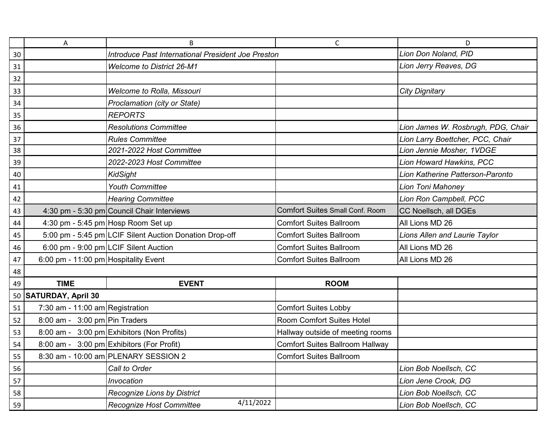|    | Α                                    | B                                                       | $\mathsf{C}$                           | D                                  |
|----|--------------------------------------|---------------------------------------------------------|----------------------------------------|------------------------------------|
| 30 |                                      | Introduce Past International President Joe Preston      |                                        | Lion Don Noland, PID               |
| 31 |                                      | <b>Welcome to District 26-M1</b>                        |                                        | Lion Jerry Reaves, DG              |
| 32 |                                      |                                                         |                                        |                                    |
| 33 |                                      | Welcome to Rolla, Missouri                              |                                        | <b>City Dignitary</b>              |
| 34 |                                      | Proclamation (city or State)                            |                                        |                                    |
| 35 |                                      | <b>REPORTS</b>                                          |                                        |                                    |
| 36 |                                      | <b>Resolutions Committee</b>                            |                                        | Lion James W. Rosbrugh, PDG, Chair |
| 37 |                                      | <b>Rules Committee</b>                                  |                                        | Lion Larry Boettcher, PCC, Chair   |
| 38 |                                      | 2021-2022 Host Committee                                |                                        | Lion Jennie Mosher, 1VDGE          |
| 39 |                                      | 2022-2023 Host Committee                                |                                        | Lion Howard Hawkins, PCC           |
| 40 |                                      | <b>KidSight</b>                                         |                                        | Lion Katherine Patterson-Paronto   |
| 41 |                                      | <b>Youth Committee</b>                                  |                                        | Lion Toni Mahoney                  |
| 42 |                                      | <b>Hearing Committee</b>                                |                                        | Lion Ron Campbell, PCC             |
| 43 |                                      | 4:30 pm - 5:30 pm Council Chair Interviews              | <b>Comfort Suites Small Conf. Room</b> | CC Noellsch, all DGEs              |
| 44 |                                      | 4:30 pm - 5:45 pm Hosp Room Set up                      | <b>Comfort Suites Ballroom</b>         | All Lions MD 26                    |
| 45 |                                      | 5:00 pm - 5:45 pm LCIF Silent Auction Donation Drop-off | <b>Comfort Suites Ballroom</b>         | Lions Allen and Laurie Taylor      |
| 46 |                                      | 6:00 pm - 9:00 pm LCIF Silent Auction                   | <b>Comfort Suites Ballroom</b>         | All Lions MD 26                    |
| 47 | 6:00 pm - 11:00 pm Hospitality Event |                                                         | <b>Comfort Suites Ballroom</b>         | All Lions MD 26                    |
| 48 |                                      |                                                         |                                        |                                    |
| 49 | <b>TIME</b>                          | <b>EVENT</b>                                            | <b>ROOM</b>                            |                                    |
|    | 50 SATURDAY, April 30                |                                                         |                                        |                                    |
| 51 | 7:30 am - 11:00 am Registration      |                                                         | <b>Comfort Suites Lobby</b>            |                                    |
| 52 | $8:00$ am - $3:00$ pm Pin Traders    |                                                         | <b>Room Comfort Suites Hotel</b>       |                                    |
| 53 |                                      | 8:00 am - 3:00 pm Exhibitors (Non Profits)              | Hallway outside of meeting rooms       |                                    |
| 54 |                                      | 8:00 am - 3:00 pm Exhibitors (For Profit)               | Comfort Suites Ballroom Hallway        |                                    |
| 55 |                                      | 8:30 am - 10:00 am PLENARY SESSION 2                    | <b>Comfort Suites Ballroom</b>         |                                    |
| 56 |                                      | Call to Order                                           |                                        | Lion Bob Noellsch, CC              |
| 57 |                                      | Invocation                                              |                                        | Lion Jene Crook, DG                |
| 58 |                                      | <b>Recognize Lions by District</b>                      |                                        | Lion Bob Noellsch, CC              |
| 59 |                                      | 4/11/2022<br>Recognize Host Committee                   |                                        | Lion Bob Noellsch, CC              |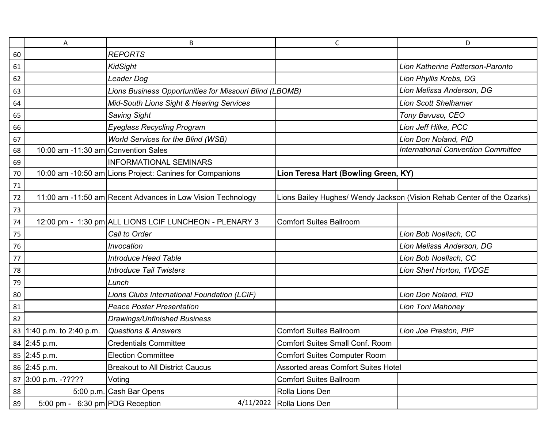|    | Α                                   | B                                                           | C                                          | D                                                                      |
|----|-------------------------------------|-------------------------------------------------------------|--------------------------------------------|------------------------------------------------------------------------|
| 60 |                                     | <b>REPORTS</b>                                              |                                            |                                                                        |
| 61 |                                     | <b>KidSight</b>                                             |                                            | Lion Katherine Patterson-Paronto                                       |
| 62 |                                     | Leader Dog                                                  |                                            | Lion Phyllis Krebs, DG                                                 |
| 63 |                                     | Lions Business Opportunities for Missouri Blind (LBOMB)     |                                            | Lion Melissa Anderson, DG                                              |
| 64 |                                     | Mid-South Lions Sight & Hearing Services                    |                                            | <b>Lion Scott Shelhamer</b>                                            |
| 65 |                                     | <b>Saving Sight</b>                                         |                                            | Tony Bavuso, CEO                                                       |
| 66 |                                     | <b>Eyeglass Recycling Program</b>                           |                                            | Lion Jeff Hilke, PCC                                                   |
| 67 |                                     | World Services for the Blind (WSB)                          |                                            | Lion Don Noland, PID                                                   |
| 68 | 10:00 am -11:30 am Convention Sales |                                                             |                                            | <b>International Convention Committee</b>                              |
| 69 |                                     | <b>INFORMATIONAL SEMINARS</b>                               |                                            |                                                                        |
| 70 |                                     | 10:00 am -10:50 am Lions Project: Canines for Companions    | Lion Teresa Hart (Bowling Green, KY)       |                                                                        |
| 71 |                                     |                                                             |                                            |                                                                        |
| 72 |                                     | 11:00 am -11:50 am Recent Advances in Low Vision Technology |                                            | Lions Bailey Hughes/ Wendy Jackson (Vision Rehab Center of the Ozarks) |
| 73 |                                     |                                                             |                                            |                                                                        |
| 74 |                                     | 12:00 pm - 1:30 pm ALL LIONS LCIF LUNCHEON - PLENARY 3      | <b>Comfort Suites Ballroom</b>             |                                                                        |
| 75 |                                     | Call to Order                                               |                                            | Lion Bob Noellsch, CC                                                  |
| 76 |                                     | Invocation                                                  |                                            | Lion Melissa Anderson, DG                                              |
| 77 |                                     | <b>Introduce Head Table</b>                                 |                                            | Lion Bob Noellsch, CC                                                  |
| 78 |                                     | <b>Introduce Tail Twisters</b>                              |                                            | Lion Sherl Horton, 1VDGE                                               |
| 79 |                                     | Lunch                                                       |                                            |                                                                        |
| 80 |                                     | Lions Clubs International Foundation (LCIF)                 |                                            | Lion Don Noland, PID                                                   |
| 81 |                                     | <b>Peace Poster Presentation</b>                            |                                            | Lion Toni Mahoney                                                      |
| 82 |                                     | Drawings/Unfinished Business                                |                                            |                                                                        |
|    | 83 1:40 p.m. to 2:40 p.m.           | <b>Questions &amp; Answers</b>                              | <b>Comfort Suites Ballroom</b>             | Lion Joe Preston, PIP                                                  |
|    | 84 2:45 p.m.                        | <b>Credentials Committee</b>                                | <b>Comfort Suites Small Conf. Room</b>     |                                                                        |
|    | 85 2:45 p.m.                        | <b>Election Committee</b>                                   | <b>Comfort Suites Computer Room</b>        |                                                                        |
|    | 86 2:45 p.m.                        | <b>Breakout to All District Caucus</b>                      | <b>Assorted areas Comfort Suites Hotel</b> |                                                                        |
|    | 87 3:00 p.m. -?????                 | Voting                                                      | <b>Comfort Suites Ballroom</b>             |                                                                        |
| 88 |                                     | 5:00 p.m. Cash Bar Opens                                    | Rolla Lions Den                            |                                                                        |
| 89 | 5:00 pm - $6:30$ pm PDG Reception   | 4/11/2022                                                   | Rolla Lions Den                            |                                                                        |